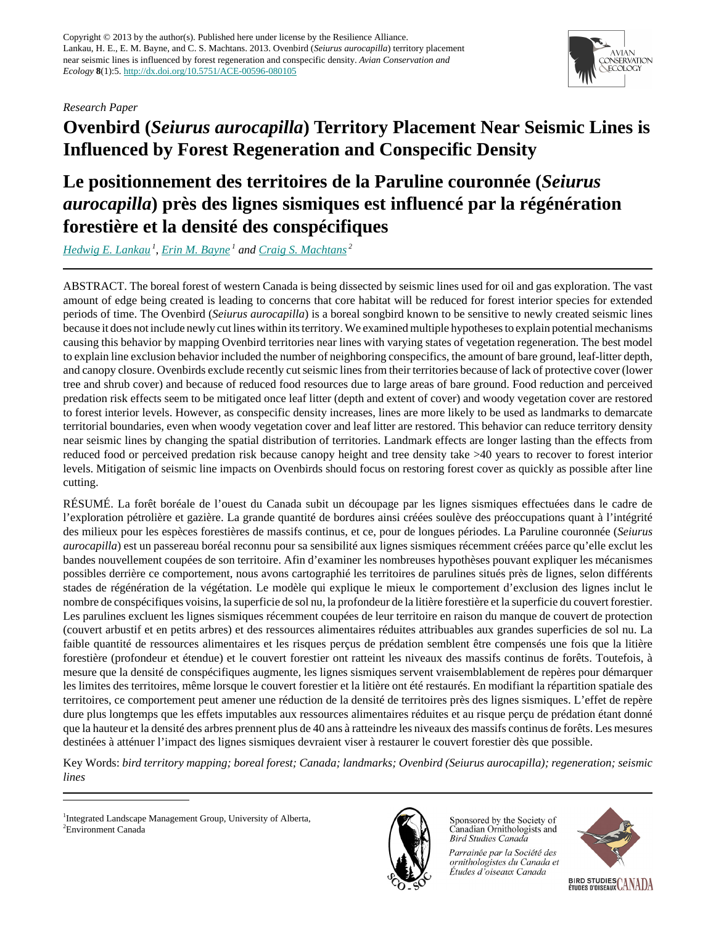# *Research Paper*



# **Ovenbird (***Seiurus aurocapilla***) Territory Placement Near Seismic Lines is Influenced by Forest Regeneration and Conspecific Density**

# **Le positionnement des territoires de la Paruline couronnée (***Seiurus aurocapilla***) près des lignes sismiques est influencé par la régénération forestière et la densité des conspécifiques**

*[Hedwig E. Lankau](mailto:hedwig@ualberta.ca)<sup>1</sup>* , *[Erin M. Bayne](mailto:bayne@ualberta.ca)<sup>1</sup> and [Craig S. Machtans](mailto:Craig.Machtans@EC.GC.CA)<sup>2</sup>*

ABSTRACT. The boreal forest of western Canada is being dissected by seismic lines used for oil and gas exploration. The vast amount of edge being created is leading to concerns that core habitat will be reduced for forest interior species for extended periods of time. The Ovenbird (*Seiurus aurocapilla*) is a boreal songbird known to be sensitive to newly created seismic lines because it does not include newly cut lines within its territory. We examined multiple hypotheses to explain potential mechanisms causing this behavior by mapping Ovenbird territories near lines with varying states of vegetation regeneration. The best model to explain line exclusion behavior included the number of neighboring conspecifics, the amount of bare ground, leaf-litter depth, and canopy closure. Ovenbirds exclude recently cut seismic lines from their territories because of lack of protective cover (lower tree and shrub cover) and because of reduced food resources due to large areas of bare ground. Food reduction and perceived predation risk effects seem to be mitigated once leaf litter (depth and extent of cover) and woody vegetation cover are restored to forest interior levels. However, as conspecific density increases, lines are more likely to be used as landmarks to demarcate territorial boundaries, even when woody vegetation cover and leaf litter are restored. This behavior can reduce territory density near seismic lines by changing the spatial distribution of territories. Landmark effects are longer lasting than the effects from reduced food or perceived predation risk because canopy height and tree density take >40 years to recover to forest interior levels. Mitigation of seismic line impacts on Ovenbirds should focus on restoring forest cover as quickly as possible after line cutting.

RÉSUMÉ. La forêt boréale de l'ouest du Canada subit un découpage par les lignes sismiques effectuées dans le cadre de l'exploration pétrolière et gazière. La grande quantité de bordures ainsi créées soulève des préoccupations quant à l'intégrité des milieux pour les espèces forestières de massifs continus, et ce, pour de longues périodes. La Paruline couronnée (*Seiurus aurocapilla*) est un passereau boréal reconnu pour sa sensibilité aux lignes sismiques récemment créées parce qu'elle exclut les bandes nouvellement coupées de son territoire. Afin d'examiner les nombreuses hypothèses pouvant expliquer les mécanismes possibles derrière ce comportement, nous avons cartographié les territoires de parulines situés près de lignes, selon différents stades de régénération de la végétation. Le modèle qui explique le mieux le comportement d'exclusion des lignes inclut le nombre de conspécifiques voisins, la superficie de sol nu, la profondeur de la litière forestière et la superficie du couvert forestier. Les parulines excluent les lignes sismiques récemment coupées de leur territoire en raison du manque de couvert de protection (couvert arbustif et en petits arbres) et des ressources alimentaires réduites attribuables aux grandes superficies de sol nu. La faible quantité de ressources alimentaires et les risques perçus de prédation semblent être compensés une fois que la litière forestière (profondeur et étendue) et le couvert forestier ont ratteint les niveaux des massifs continus de forêts. Toutefois, à mesure que la densité de conspécifiques augmente, les lignes sismiques servent vraisemblablement de repères pour démarquer les limites des territoires, même lorsque le couvert forestier et la litière ont été restaurés. En modifiant la répartition spatiale des territoires, ce comportement peut amener une réduction de la densité de territoires près des lignes sismiques. L'effet de repère dure plus longtemps que les effets imputables aux ressources alimentaires réduites et au risque perçu de prédation étant donné que la hauteur et la densité des arbres prennent plus de 40 ans à ratteindre les niveaux des massifs continus de forêts. Les mesures destinées à atténuer l'impact des lignes sismiques devraient viser à restaurer le couvert forestier dès que possible.

Key Words: *bird territory mapping; boreal forest; Canada; landmarks; Ovenbird (Seiurus aurocapilla); regeneration; seismic lines*



Sponsored by the Society of Canadian Ornithologists and **Bird Studies Canada** 

Parrainée par la Société des ornithologistes du Canada et Études d'oiseaux Canada



<sup>&</sup>lt;sup>1</sup>Integrated Landscape Management Group, University of Alberta, 2 Environment Canada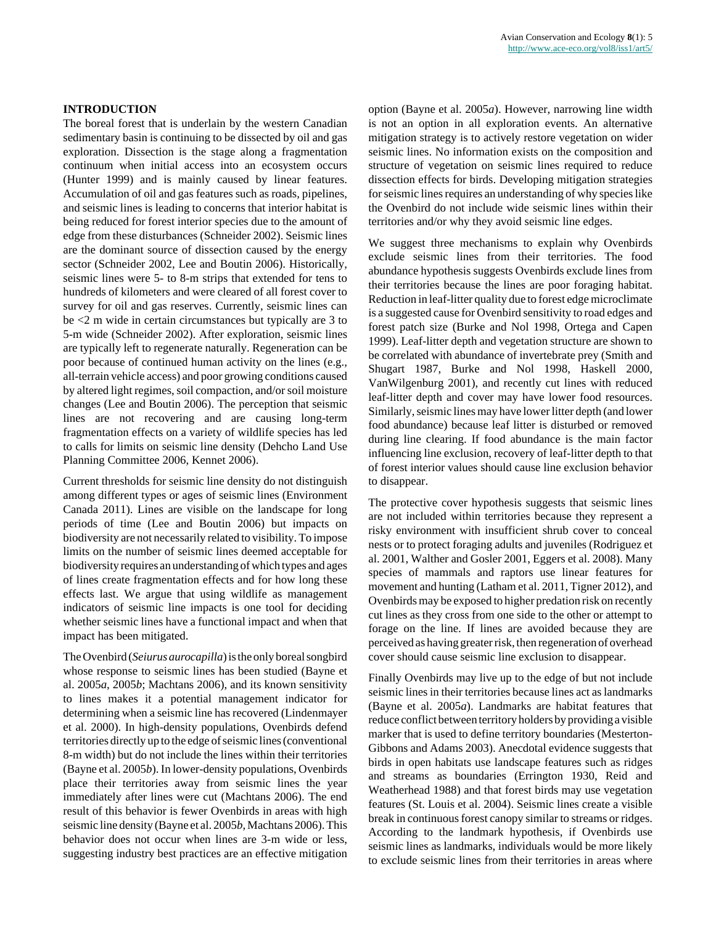# **INTRODUCTION**

The boreal forest that is underlain by the western Canadian sedimentary basin is continuing to be dissected by oil and gas exploration. Dissection is the stage along a fragmentation continuum when initial access into an ecosystem occurs (Hunter 1999) and is mainly caused by linear features. Accumulation of oil and gas features such as roads, pipelines, and seismic lines is leading to concerns that interior habitat is being reduced for forest interior species due to the amount of edge from these disturbances (Schneider 2002). Seismic lines are the dominant source of dissection caused by the energy sector (Schneider 2002, Lee and Boutin 2006). Historically, seismic lines were 5- to 8-m strips that extended for tens to hundreds of kilometers and were cleared of all forest cover to survey for oil and gas reserves. Currently, seismic lines can be <2 m wide in certain circumstances but typically are 3 to 5-m wide (Schneider 2002). After exploration, seismic lines are typically left to regenerate naturally. Regeneration can be poor because of continued human activity on the lines (e.g., all-terrain vehicle access) and poor growing conditions caused by altered light regimes, soil compaction, and/or soil moisture changes (Lee and Boutin 2006). The perception that seismic lines are not recovering and are causing long-term fragmentation effects on a variety of wildlife species has led to calls for limits on seismic line density (Dehcho Land Use Planning Committee 2006, Kennet 2006).

Current thresholds for seismic line density do not distinguish among different types or ages of seismic lines (Environment Canada 2011). Lines are visible on the landscape for long periods of time (Lee and Boutin 2006) but impacts on biodiversity are not necessarily related to visibility. To impose limits on the number of seismic lines deemed acceptable for biodiversity requires an understanding of which types and ages of lines create fragmentation effects and for how long these effects last. We argue that using wildlife as management indicators of seismic line impacts is one tool for deciding whether seismic lines have a functional impact and when that impact has been mitigated.

The Ovenbird (*Seiurus aurocapilla*) is the only boreal songbird whose response to seismic lines has been studied (Bayne et al. 2005*a*, 2005*b*; Machtans 2006), and its known sensitivity to lines makes it a potential management indicator for determining when a seismic line has recovered (Lindenmayer et al. 2000). In high-density populations, Ovenbirds defend territories directly up to the edge of seismic lines (conventional 8-m width) but do not include the lines within their territories (Bayne et al. 2005*b*). In lower-density populations, Ovenbirds place their territories away from seismic lines the year immediately after lines were cut (Machtans 2006). The end result of this behavior is fewer Ovenbirds in areas with high seismic line density (Bayne et al. 2005*b*, Machtans 2006). This behavior does not occur when lines are 3-m wide or less, suggesting industry best practices are an effective mitigation option (Bayne et al. 2005*a*). However, narrowing line width is not an option in all exploration events. An alternative mitigation strategy is to actively restore vegetation on wider seismic lines. No information exists on the composition and structure of vegetation on seismic lines required to reduce dissection effects for birds. Developing mitigation strategies for seismic lines requires an understanding of why species like the Ovenbird do not include wide seismic lines within their territories and/or why they avoid seismic line edges.

We suggest three mechanisms to explain why Ovenbirds exclude seismic lines from their territories. The food abundance hypothesis suggests Ovenbirds exclude lines from their territories because the lines are poor foraging habitat. Reduction in leaf-litter quality due to forest edge microclimate is a suggested cause for Ovenbird sensitivity to road edges and forest patch size (Burke and Nol 1998, Ortega and Capen 1999). Leaf-litter depth and vegetation structure are shown to be correlated with abundance of invertebrate prey (Smith and Shugart 1987, Burke and Nol 1998, Haskell 2000, VanWilgenburg 2001), and recently cut lines with reduced leaf-litter depth and cover may have lower food resources. Similarly, seismic lines may have lower litter depth (and lower food abundance) because leaf litter is disturbed or removed during line clearing. If food abundance is the main factor influencing line exclusion, recovery of leaf-litter depth to that of forest interior values should cause line exclusion behavior to disappear.

The protective cover hypothesis suggests that seismic lines are not included within territories because they represent a risky environment with insufficient shrub cover to conceal nests or to protect foraging adults and juveniles (Rodriguez et al. 2001, Walther and Gosler 2001, Eggers et al. 2008). Many species of mammals and raptors use linear features for movement and hunting (Latham et al. 2011, Tigner 2012), and Ovenbirds may be exposed to higher predation risk on recently cut lines as they cross from one side to the other or attempt to forage on the line. If lines are avoided because they are perceived as having greater risk, then regeneration of overhead cover should cause seismic line exclusion to disappear.

Finally Ovenbirds may live up to the edge of but not include seismic lines in their territories because lines act as landmarks (Bayne et al. 2005*a*). Landmarks are habitat features that reduce conflict between territory holders by providing a visible marker that is used to define territory boundaries (Mesterton-Gibbons and Adams 2003). Anecdotal evidence suggests that birds in open habitats use landscape features such as ridges and streams as boundaries (Errington 1930, Reid and Weatherhead 1988) and that forest birds may use vegetation features (St. Louis et al. 2004). Seismic lines create a visible break in continuous forest canopy similar to streams or ridges. According to the landmark hypothesis, if Ovenbirds use seismic lines as landmarks, individuals would be more likely to exclude seismic lines from their territories in areas where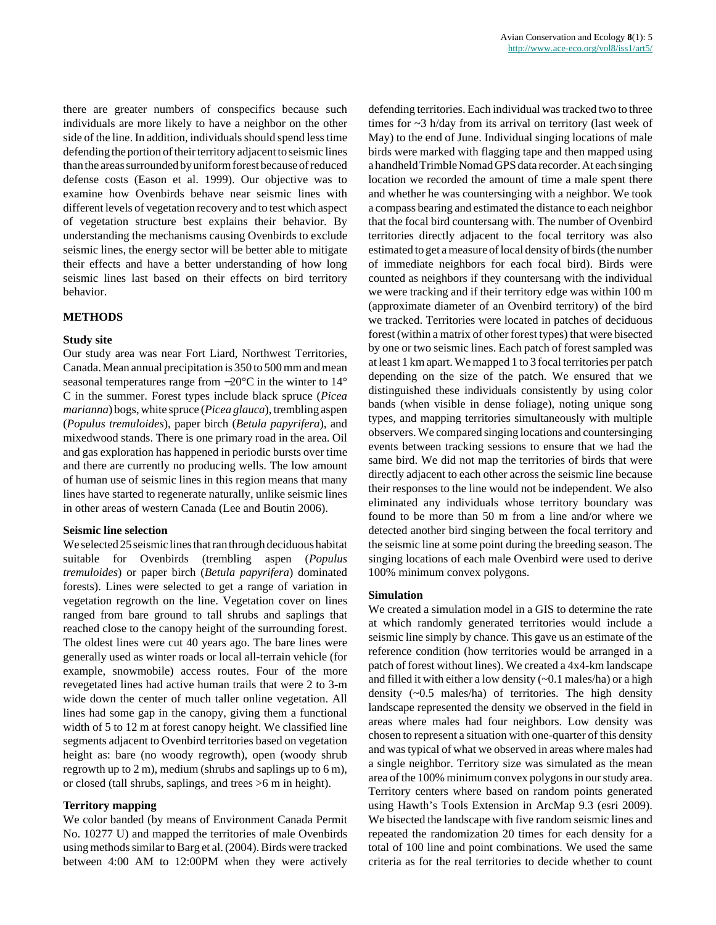there are greater numbers of conspecifics because such individuals are more likely to have a neighbor on the other side of the line. In addition, individuals should spend less time defending the portion of their territory adjacent to seismic lines than the areas surrounded by uniform forest because of reduced defense costs (Eason et al. 1999). Our objective was to examine how Ovenbirds behave near seismic lines with different levels of vegetation recovery and to test which aspect of vegetation structure best explains their behavior. By understanding the mechanisms causing Ovenbirds to exclude seismic lines, the energy sector will be better able to mitigate their effects and have a better understanding of how long seismic lines last based on their effects on bird territory behavior.

# **METHODS**

## **Study site**

Our study area was near Fort Liard, Northwest Territories, Canada. Mean annual precipitation is 350 to 500 mm and mean seasonal temperatures range from −20°C in the winter to 14° C in the summer. Forest types include black spruce (*Picea marianna*) bogs, white spruce (*Picea glauca*), trembling aspen (*Populus tremuloides*), paper birch (*Betula papyrifera*), and mixedwood stands. There is one primary road in the area. Oil and gas exploration has happened in periodic bursts over time and there are currently no producing wells. The low amount of human use of seismic lines in this region means that many lines have started to regenerate naturally, unlike seismic lines in other areas of western Canada (Lee and Boutin 2006).

## **Seismic line selection**

We selected 25 seismic lines that ran through deciduous habitat suitable for Ovenbirds (trembling aspen (*Populus tremuloides*) or paper birch (*Betula papyrifera*) dominated forests). Lines were selected to get a range of variation in vegetation regrowth on the line. Vegetation cover on lines ranged from bare ground to tall shrubs and saplings that reached close to the canopy height of the surrounding forest. The oldest lines were cut 40 years ago. The bare lines were generally used as winter roads or local all-terrain vehicle (for example, snowmobile) access routes. Four of the more revegetated lines had active human trails that were 2 to 3-m wide down the center of much taller online vegetation. All lines had some gap in the canopy, giving them a functional width of 5 to 12 m at forest canopy height. We classified line segments adjacent to Ovenbird territories based on vegetation height as: bare (no woody regrowth), open (woody shrub regrowth up to 2 m), medium (shrubs and saplings up to 6 m), or closed (tall shrubs, saplings, and trees >6 m in height).

## **Territory mapping**

We color banded (by means of Environment Canada Permit No. 10277 U) and mapped the territories of male Ovenbirds using methods similar to Barg et al. (2004). Birds were tracked between 4:00 AM to 12:00PM when they were actively defending territories. Each individual was tracked two to three times for ~3 h/day from its arrival on territory (last week of May) to the end of June. Individual singing locations of male birds were marked with flagging tape and then mapped using a handheld Trimble Nomad GPS data recorder. At each singing location we recorded the amount of time a male spent there and whether he was countersinging with a neighbor. We took a compass bearing and estimated the distance to each neighbor that the focal bird countersang with. The number of Ovenbird territories directly adjacent to the focal territory was also estimated to get a measure of local density of birds (the number of immediate neighbors for each focal bird). Birds were counted as neighbors if they countersang with the individual we were tracking and if their territory edge was within 100 m (approximate diameter of an Ovenbird territory) of the bird we tracked. Territories were located in patches of deciduous forest (within a matrix of other forest types) that were bisected by one or two seismic lines. Each patch of forest sampled was at least 1 km apart. We mapped 1 to 3 focal territories per patch depending on the size of the patch. We ensured that we distinguished these individuals consistently by using color bands (when visible in dense foliage), noting unique song types, and mapping territories simultaneously with multiple observers. We compared singing locations and countersinging events between tracking sessions to ensure that we had the same bird. We did not map the territories of birds that were directly adjacent to each other across the seismic line because their responses to the line would not be independent. We also eliminated any individuals whose territory boundary was found to be more than 50 m from a line and/or where we detected another bird singing between the focal territory and the seismic line at some point during the breeding season. The singing locations of each male Ovenbird were used to derive 100% minimum convex polygons.

## **Simulation**

We created a simulation model in a GIS to determine the rate at which randomly generated territories would include a seismic line simply by chance. This gave us an estimate of the reference condition (how territories would be arranged in a patch of forest without lines). We created a 4x4-km landscape and filled it with either a low density  $(-0.1 \text{ males/ha})$  or a high density (~0.5 males/ha) of territories. The high density landscape represented the density we observed in the field in areas where males had four neighbors. Low density was chosen to represent a situation with one-quarter of this density and was typical of what we observed in areas where males had a single neighbor. Territory size was simulated as the mean area of the 100% minimum convex polygons in our study area. Territory centers where based on random points generated using Hawth's Tools Extension in ArcMap 9.3 (esri 2009). We bisected the landscape with five random seismic lines and repeated the randomization 20 times for each density for a total of 100 line and point combinations. We used the same criteria as for the real territories to decide whether to count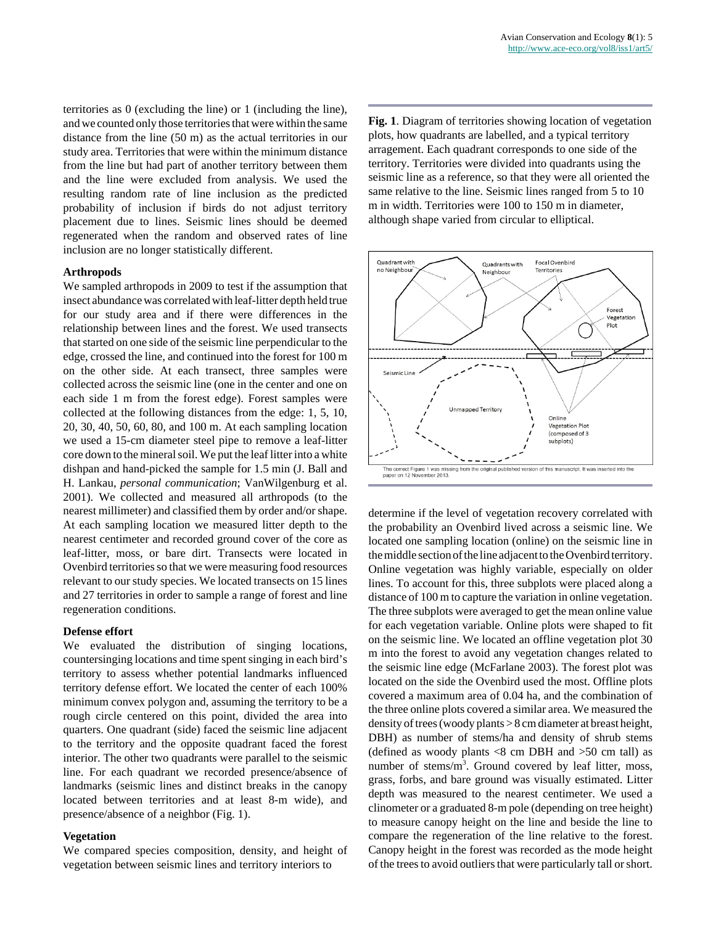territories as 0 (excluding the line) or 1 (including the line), and we counted only those territories that were within the same distance from the line (50 m) as the actual territories in our study area. Territories that were within the minimum distance from the line but had part of another territory between them and the line were excluded from analysis. We used the resulting random rate of line inclusion as the predicted probability of inclusion if birds do not adjust territory placement due to lines. Seismic lines should be deemed regenerated when the random and observed rates of line inclusion are no longer statistically different.

#### **Arthropods**

We sampled arthropods in 2009 to test if the assumption that insect abundance was correlated with leaf-litter depth held true for our study area and if there were differences in the relationship between lines and the forest. We used transects that started on one side of the seismic line perpendicular to the edge, crossed the line, and continued into the forest for 100 m on the other side. At each transect, three samples were collected across the seismic line (one in the center and one on each side 1 m from the forest edge). Forest samples were collected at the following distances from the edge: 1, 5, 10, 20, 30, 40, 50, 60, 80, and 100 m. At each sampling location we used a 15-cm diameter steel pipe to remove a leaf-litter core down to the mineral soil. We put the leaf litter into a white dishpan and hand-picked the sample for 1.5 min (J. Ball and H. Lankau, *personal communication*; VanWilgenburg et al. 2001). We collected and measured all arthropods (to the nearest millimeter) and classified them by order and/or shape. At each sampling location we measured litter depth to the nearest centimeter and recorded ground cover of the core as leaf-litter, moss, or bare dirt. Transects were located in Ovenbird territories so that we were measuring food resources relevant to our study species. We located transects on 15 lines and 27 territories in order to sample a range of forest and line regeneration conditions.

## **Defense effort**

We evaluated the distribution of singing locations, countersinging locations and time spent singing in each bird's territory to assess whether potential landmarks influenced territory defense effort. We located the center of each 100% minimum convex polygon and, assuming the territory to be a rough circle centered on this point, divided the area into quarters. One quadrant (side) faced the seismic line adjacent to the territory and the opposite quadrant faced the forest interior. The other two quadrants were parallel to the seismic line. For each quadrant we recorded presence/absence of landmarks (seismic lines and distinct breaks in the canopy located between territories and at least 8-m wide), and presence/absence of a neighbor (Fig. 1).

#### **Vegetation**

We compared species composition, density, and height of vegetation between seismic lines and territory interiors to

**Fig. 1**. Diagram of territories showing location of vegetation plots, how quadrants are labelled, and a typical territory arragement. Each quadrant corresponds to one side of the territory. Territories were divided into quadrants using the seismic line as a reference, so that they were all oriented the same relative to the line. Seismic lines ranged from 5 to 10 m in width. Territories were 100 to 150 m in diameter, although shape varied from circular to elliptical.



determine if the level of vegetation recovery correlated with the probability an Ovenbird lived across a seismic line. We located one sampling location (online) on the seismic line in the middle section of the line adjacent to the Ovenbird territory. Online vegetation was highly variable, especially on older lines. To account for this, three subplots were placed along a distance of 100 m to capture the variation in online vegetation. The three subplots were averaged to get the mean online value for each vegetation variable. Online plots were shaped to fit on the seismic line. We located an offline vegetation plot 30 m into the forest to avoid any vegetation changes related to the seismic line edge (McFarlane 2003). The forest plot was located on the side the Ovenbird used the most. Offline plots covered a maximum area of 0.04 ha, and the combination of the three online plots covered a similar area. We measured the density of trees (woody plants > 8 cm diameter at breast height, DBH) as number of stems/ha and density of shrub stems (defined as woody plants  $\langle 8 \text{ cm DBH} \rangle$  and  $\langle 50 \text{ cm tall} \rangle$  as number of stems/m<sup>3</sup>. Ground covered by leaf litter, moss, grass, forbs, and bare ground was visually estimated. Litter depth was measured to the nearest centimeter. We used a clinometer or a graduated 8-m pole (depending on tree height) to measure canopy height on the line and beside the line to compare the regeneration of the line relative to the forest. Canopy height in the forest was recorded as the mode height of the trees to avoid outliers that were particularly tall or short.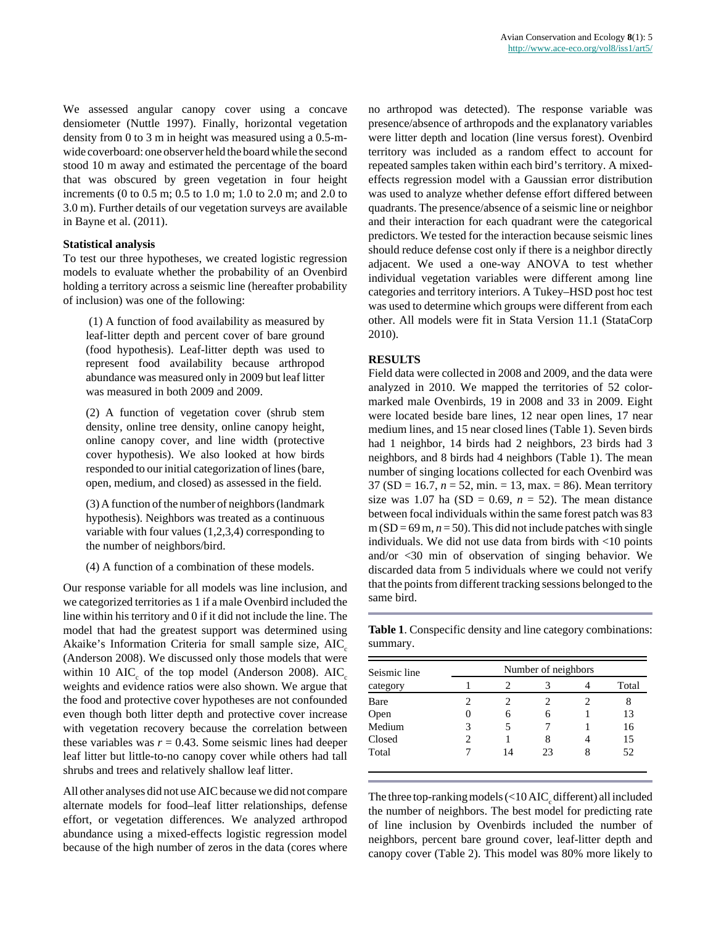We assessed angular canopy cover using a concave densiometer (Nuttle 1997). Finally, horizontal vegetation density from 0 to 3 m in height was measured using a 0.5-mwide coverboard: one observer held the board while the second stood 10 m away and estimated the percentage of the board that was obscured by green vegetation in four height increments (0 to 0.5 m; 0.5 to 1.0 m; 1.0 to 2.0 m; and 2.0 to 3.0 m). Further details of our vegetation surveys are available in Bayne et al. (2011).

# **Statistical analysis**

To test our three hypotheses, we created logistic regression models to evaluate whether the probability of an Ovenbird holding a territory across a seismic line (hereafter probability of inclusion) was one of the following:

 (1) A function of food availability as measured by leaf-litter depth and percent cover of bare ground (food hypothesis). Leaf-litter depth was used to represent food availability because arthropod abundance was measured only in 2009 but leaf litter was measured in both 2009 and 2009.

(2) A function of vegetation cover (shrub stem density, online tree density, online canopy height, online canopy cover, and line width (protective cover hypothesis). We also looked at how birds responded to our initial categorization of lines (bare, open, medium, and closed) as assessed in the field.

(3) A function of the number of neighbors (landmark hypothesis). Neighbors was treated as a continuous variable with four values (1,2,3,4) corresponding to the number of neighbors/bird.

(4) A function of a combination of these models.

Our response variable for all models was line inclusion, and we categorized territories as 1 if a male Ovenbird included the line within his territory and 0 if it did not include the line. The model that had the greatest support was determined using Akaike's Information Criteria for small sample size,  $AIC$ (Anderson 2008). We discussed only those models that were within 10  $AIC_c$  of the top model (Anderson 2008).  $AIC_c$ weights and evidence ratios were also shown. We argue that the food and protective cover hypotheses are not confounded even though both litter depth and protective cover increase with vegetation recovery because the correlation between these variables was  $r = 0.43$ . Some seismic lines had deeper leaf litter but little-to-no canopy cover while others had tall shrubs and trees and relatively shallow leaf litter.

All other analyses did not use AIC because we did not compare alternate models for food–leaf litter relationships, defense effort, or vegetation differences. We analyzed arthropod abundance using a mixed-effects logistic regression model because of the high number of zeros in the data (cores where no arthropod was detected). The response variable was presence/absence of arthropods and the explanatory variables were litter depth and location (line versus forest). Ovenbird territory was included as a random effect to account for repeated samples taken within each bird's territory. A mixedeffects regression model with a Gaussian error distribution was used to analyze whether defense effort differed between quadrants. The presence/absence of a seismic line or neighbor and their interaction for each quadrant were the categorical predictors. We tested for the interaction because seismic lines should reduce defense cost only if there is a neighbor directly adjacent. We used a one-way ANOVA to test whether individual vegetation variables were different among line categories and territory interiors. A Tukey–HSD post hoc test was used to determine which groups were different from each other. All models were fit in Stata Version 11.1 (StataCorp 2010).

# **RESULTS**

Field data were collected in 2008 and 2009, and the data were analyzed in 2010. We mapped the territories of 52 colormarked male Ovenbirds, 19 in 2008 and 33 in 2009. Eight were located beside bare lines, 12 near open lines, 17 near medium lines, and 15 near closed lines (Table 1). Seven birds had 1 neighbor, 14 birds had 2 neighbors, 23 birds had 3 neighbors, and 8 birds had 4 neighbors (Table 1). The mean number of singing locations collected for each Ovenbird was 37 (SD = 16.7, *n* = 52, min. = 13, max. = 86). Mean territory size was 1.07 ha (SD = 0.69,  $n = 52$ ). The mean distance between focal individuals within the same forest patch was 83  $m(SD = 69 m, n = 50)$ . This did not include patches with single individuals. We did not use data from birds with <10 points and/or <30 min of observation of singing behavior. We discarded data from 5 individuals where we could not verify that the points from different tracking sessions belonged to the same bird.

**Table 1**. Conspecific density and line category combinations: summary.

| Seismic line<br>category | Number of neighbors |    |    |   |       |  |  |
|--------------------------|---------------------|----|----|---|-------|--|--|
|                          |                     |    |    |   | Total |  |  |
| Bare                     |                     |    |    |   |       |  |  |
| Open                     | 0                   | 6  | 6  |   | 13    |  |  |
| Medium                   | 3                   |    |    |   | 16    |  |  |
| Closed                   |                     |    | 8  |   | 15    |  |  |
| Total                    |                     | 14 | 23 | 8 | 52    |  |  |

The three top-ranking models ( $\text{<10\,AU}{\text{c}}$  different) all included the number of neighbors. The best model for predicting rate of line inclusion by Ovenbirds included the number of neighbors, percent bare ground cover, leaf-litter depth and canopy cover (Table 2). This model was 80% more likely to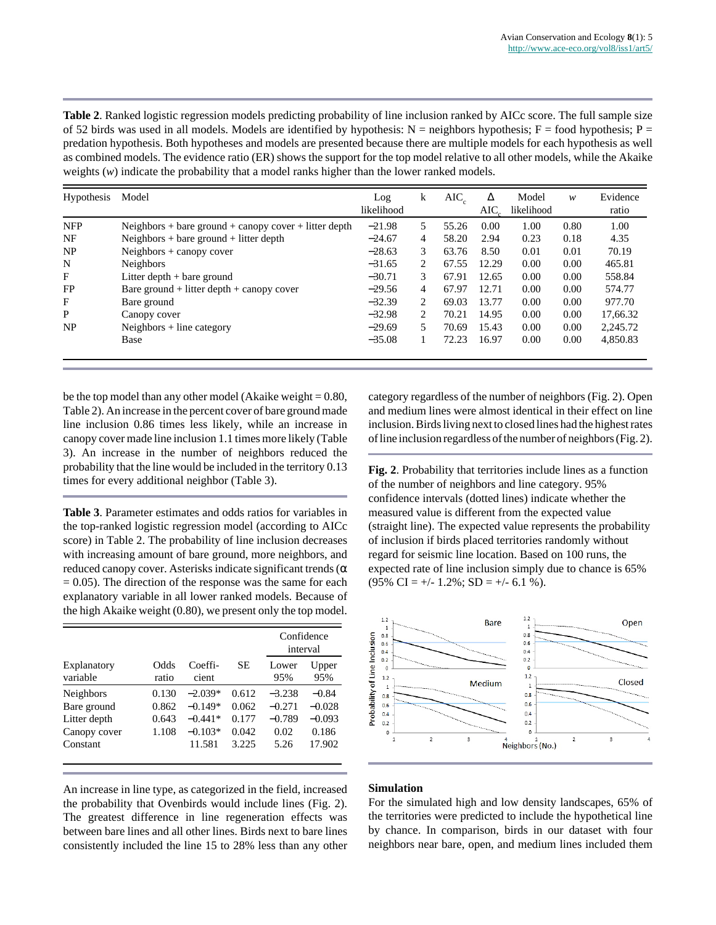**Table 2**. Ranked logistic regression models predicting probability of line inclusion ranked by AICc score. The full sample size of 52 birds was used in all models. Models are identified by hypothesis: N = neighbors hypothesis; F = food hypothesis; P = predation hypothesis. Both hypotheses and models are presented because there are multiple models for each hypothesis as well as combined models. The evidence ratio (ER) shows the support for the top model relative to all other models, while the Akaike weights (*w*) indicate the probability that a model ranks higher than the lower ranked models.

| <b>Hypothesis</b> | Model                                                 | Log<br>likelihood | k  | $AIC_c$ | Δ<br>AIC | Model<br>likelihood | w    | Evidence<br>ratio |
|-------------------|-------------------------------------------------------|-------------------|----|---------|----------|---------------------|------|-------------------|
| <b>NFP</b>        | Neighbors + bare ground + canopy cover + litter depth | $-21.98$          | 5. | 55.26   | 0.00     | 1.00                | 0.80 | 1.00              |
| NF                | Neighbors + bare ground + litter depth                | $-24.67$          | 4  | 58.20   | 2.94     | 0.23                | 0.18 | 4.35              |
| NP                | Neighbors $+$ canopy cover                            | $-28.63$          | 3  | 63.76   | 8.50     | 0.01                | 0.01 | 70.19             |
| N                 | <b>Neighbors</b>                                      | $-31.65$          | 2  | 67.55   | 12.29    | 0.00                | 0.00 | 465.81            |
| $\mathbf F$       | Litter depth $+$ bare ground                          | $-30.71$          | 3  | 67.91   | 12.65    | 0.00                | 0.00 | 558.84            |
| FP                | Bare ground $+$ litter depth $+$ can opy cover        | $-29.56$          | 4  | 67.97   | 12.71    | 0.00                | 0.00 | 574.77            |
| F                 | Bare ground                                           | $-32.39$          | 2  | 69.03   | 13.77    | 0.00                | 0.00 | 977.70            |
| P                 | Canopy cover                                          | $-32.98$          | 2  | 70.21   | 14.95    | 0.00                | 0.00 | 17.66.32          |
| NP                | Neighbors $+$ line category                           | $-29.69$          | 5. | 70.69   | 15.43    | 0.00                | 0.00 | 2.245.72          |
|                   | Base                                                  | $-35.08$          |    | 72.23   | 16.97    | 0.00                | 0.00 | 4,850.83          |

be the top model than any other model (Akaike weight  $= 0.80$ , Table 2). An increase in the percent cover of bare ground made line inclusion 0.86 times less likely, while an increase in canopy cover made line inclusion 1.1 times more likely (Table 3). An increase in the number of neighbors reduced the probability that the line would be included in the territory 0.13 times for every additional neighbor (Table 3).

**Table 3**. Parameter estimates and odds ratios for variables in the top-ranked logistic regression model (according to AICc score) in Table 2. The probability of line inclusion decreases with increasing amount of bare ground, more neighbors, and reduced canopy cover. Asterisks indicate significant trends  $(\alpha$  $= 0.05$ ). The direction of the response was the same for each explanatory variable in all lower ranked models. Because of the high Akaike weight (0.80), we present only the top model.

|                         |               |                  |       | Confidence<br>interval |              |  |
|-------------------------|---------------|------------------|-------|------------------------|--------------|--|
| Explanatory<br>variable | Odds<br>ratio | Coeffi-<br>cient | SЕ    | Lower<br>95%           | Upper<br>95% |  |
| Neighbors               | 0.130         | $-2.039*$        | 0.612 | $-3.238$               | $-0.84$      |  |
| Bare ground             | 0.862         | $-0.149*$        | 0.062 | $-0.271$               | $-0.028$     |  |
| Litter depth            | 0.643         | $-0.441*$        | 0.177 | $-0.789$               | $-0.093$     |  |
| Canopy cover            | 1.108         | $-0.103*$        | 0.042 | 0.02                   | 0.186        |  |
| Constant                |               | 11.581           | 3.225 | 5.26                   | 17.902       |  |

An increase in line type, as categorized in the field, increased the probability that Ovenbirds would include lines (Fig. 2). The greatest difference in line regeneration effects was between bare lines and all other lines. Birds next to bare lines consistently included the line 15 to 28% less than any other category regardless of the number of neighbors (Fig. 2). Open and medium lines were almost identical in their effect on line inclusion. Birds living next to closed lines had the highest rates of line inclusion regardless of the number of neighbors (Fig. 2).

**Fig. 2**. Probability that territories include lines as a function of the number of neighbors and line category. 95% confidence intervals (dotted lines) indicate whether the measured value is different from the expected value (straight line). The expected value represents the probability of inclusion if birds placed territories randomly without regard for seismic line location. Based on 100 runs, the expected rate of line inclusion simply due to chance is 65%  $(95\% \text{ CI} = +/- 1.2\%; SD = +/- 6.1\%).$ 



# **Simulation**

For the simulated high and low density landscapes, 65% of the territories were predicted to include the hypothetical line by chance. In comparison, birds in our dataset with four neighbors near bare, open, and medium lines included them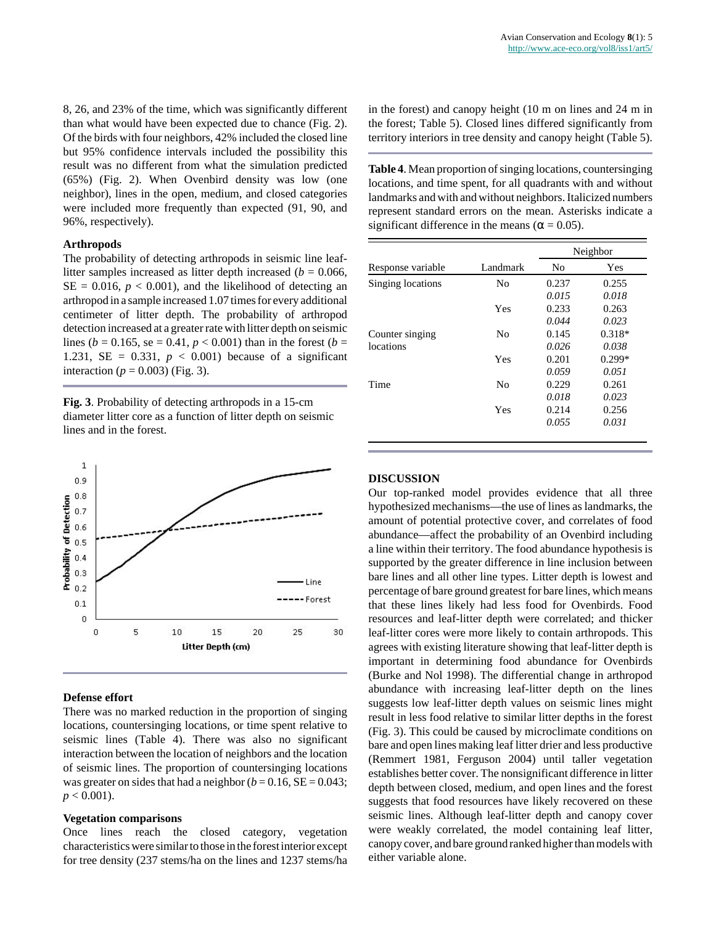8, 26, and 23% of the time, which was significantly different than what would have been expected due to chance (Fig. 2). Of the birds with four neighbors, 42% included the closed line but 95% confidence intervals included the possibility this result was no different from what the simulation predicted (65%) (Fig. 2). When Ovenbird density was low (one neighbor), lines in the open, medium, and closed categories were included more frequently than expected (91, 90, and 96%, respectively).

## **Arthropods**

The probability of detecting arthropods in seismic line leaflitter samples increased as litter depth increased ( $b = 0.066$ ,  $SE = 0.016$ ,  $p < 0.001$ ), and the likelihood of detecting an arthropod in a sample increased 1.07 times for every additional centimeter of litter depth. The probability of arthropod detection increased at a greater rate with litter depth on seismic lines ( $b = 0.165$ , se = 0.41,  $p < 0.001$ ) than in the forest ( $b =$ 1.231, SE =  $0.331$ ,  $p < 0.001$ ) because of a significant interaction ( $p = 0.003$ ) (Fig. 3).

**Fig. 3**. Probability of detecting arthropods in a 15-cm diameter litter core as a function of litter depth on seismic lines and in the forest.



# **Defense effort**

There was no marked reduction in the proportion of singing locations, countersinging locations, or time spent relative to seismic lines (Table 4). There was also no significant interaction between the location of neighbors and the location of seismic lines. The proportion of countersinging locations was greater on sides that had a neighbor  $(b = 0.16, SE = 0.043;$  $p < 0.001$ ).

## **Vegetation comparisons**

Once lines reach the closed category, vegetation characteristics were similar to those in the forest interior except for tree density (237 stems/ha on the lines and 1237 stems/ha in the forest) and canopy height (10 m on lines and 24 m in the forest; Table 5). Closed lines differed significantly from territory interiors in tree density and canopy height (Table 5).

**Table 4**. Mean proportion of singing locations, countersinging locations, and time spent, for all quadrants with and without landmarks and with and without neighbors. Italicized numbers represent standard errors on the mean. Asterisks indicate a significant difference in the means ( $\alpha$  = 0.05).

|                   |                | Neighbor |          |  |  |
|-------------------|----------------|----------|----------|--|--|
| Response variable | Landmark       | No       | Yes      |  |  |
| Singing locations | N <sub>0</sub> | 0.237    | 0.255    |  |  |
|                   |                | 0.015    | 0.018    |  |  |
|                   | Yes            | 0.233    | 0.263    |  |  |
|                   |                | 0.044    | 0.023    |  |  |
| Counter singing   | N <sub>0</sub> | 0.145    | $0.318*$ |  |  |
| locations         |                | 0.026    | 0.038    |  |  |
|                   | Yes            | 0.201    | $0.299*$ |  |  |
|                   |                | 0.059    | 0.051    |  |  |
| Time              | N <sub>0</sub> | 0.229    | 0.261    |  |  |
|                   |                | 0.018    | 0.023    |  |  |
|                   | Yes            | 0.214    | 0.256    |  |  |
|                   |                | 0.055    | 0.031    |  |  |

## **DISCUSSION**

Our top-ranked model provides evidence that all three hypothesized mechanisms—the use of lines as landmarks, the amount of potential protective cover, and correlates of food abundance—affect the probability of an Ovenbird including a line within their territory. The food abundance hypothesis is supported by the greater difference in line inclusion between bare lines and all other line types. Litter depth is lowest and percentage of bare ground greatest for bare lines, which means that these lines likely had less food for Ovenbirds. Food resources and leaf-litter depth were correlated; and thicker leaf-litter cores were more likely to contain arthropods. This agrees with existing literature showing that leaf-litter depth is important in determining food abundance for Ovenbirds (Burke and Nol 1998). The differential change in arthropod abundance with increasing leaf-litter depth on the lines suggests low leaf-litter depth values on seismic lines might result in less food relative to similar litter depths in the forest (Fig. 3). This could be caused by microclimate conditions on bare and open lines making leaf litter drier and less productive (Remmert 1981, Ferguson 2004) until taller vegetation establishes better cover. The nonsignificant difference in litter depth between closed, medium, and open lines and the forest suggests that food resources have likely recovered on these seismic lines. Although leaf-litter depth and canopy cover were weakly correlated, the model containing leaf litter, canopy cover, and bare ground ranked higher than models with either variable alone.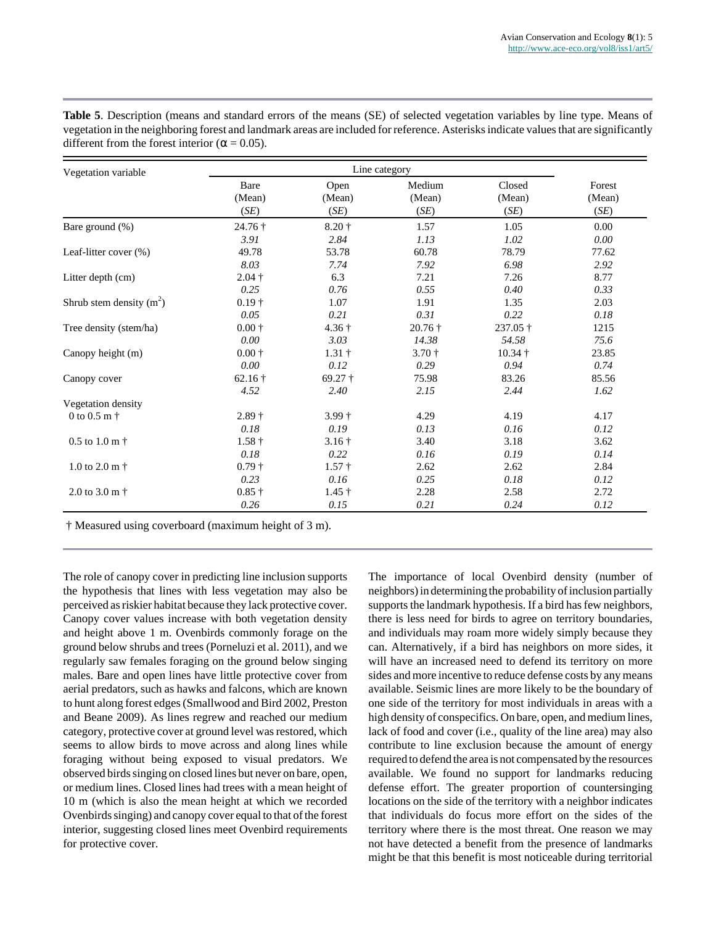| Vegetation variable        |                        | Line category          |                          |                          |                          |  |
|----------------------------|------------------------|------------------------|--------------------------|--------------------------|--------------------------|--|
|                            | Bare<br>(Mean)<br>(SE) | Open<br>(Mean)<br>(SE) | Medium<br>(Mean)<br>(SE) | Closed<br>(Mean)<br>(SE) | Forest<br>(Mean)<br>(SE) |  |
| Bare ground (%)            | $24.76 \text{ }^+$     | $8.20 +$               | 1.57                     | 1.05                     | 0.00                     |  |
|                            | 3.91                   | 2.84                   | 1.13                     | 1.02                     | 0.00                     |  |
| Leaf-litter cover (%)      | 49.78                  | 53.78                  | 60.78                    | 78.79                    | 77.62                    |  |
|                            | 8.03                   | 7.74                   | 7.92                     | 6.98                     | 2.92                     |  |
| Litter depth (cm)          | $2.04 \dagger$         | 6.3                    | 7.21                     | 7.26                     | 8.77                     |  |
|                            | 0.25                   | 0.76                   | 0.55                     | 0.40                     | 0.33                     |  |
| Shrub stem density $(m^2)$ | $0.19\dagger$          | 1.07                   | 1.91                     | 1.35                     | 2.03                     |  |
|                            | 0.05                   | 0.21                   | 0.31                     | 0.22                     | 0.18                     |  |
| Tree density (stem/ha)     | $0.00\dagger$          | $4.36\dagger$          | $20.76\dagger$           | 237.05 †                 | 1215                     |  |
|                            | 0.00                   | 3.03                   | 14.38                    | 54.58                    | 75.6                     |  |
| Canopy height (m)          | $0.00 +$               | $1.31 \;{\dagger}$     | $3.70 +$                 | $10.34 \dagger$          | 23.85                    |  |
|                            | 0.00                   | 0.12                   | 0.29                     | 0.94                     | 0.74                     |  |
| Canopy cover               | $62.16 \;{\rm t}$      | $69.27 +$              | 75.98                    | 83.26                    | 85.56                    |  |
|                            | 4.52                   | 2.40                   | 2.15                     | 2.44                     | 1.62                     |  |
| Vegetation density         |                        |                        |                          |                          |                          |  |
| 0 to 0.5 m $\dagger$       | $2.89 +$               | $3.99 +$               | 4.29                     | 4.19                     | 4.17                     |  |
|                            | 0.18                   | $0.19\,$               | 0.13                     | 0.16                     | 0.12                     |  |
| 0.5 to 1.0 m $\dagger$     | $1.58\dagger$          | $3.16\dagger$          | 3.40                     | 3.18                     | 3.62                     |  |
|                            | 0.18                   | 0.22                   | 0.16                     | 0.19                     | 0.14                     |  |
| 1.0 to 2.0 m $\dagger$     | $0.79 +$               | $1.57 +$               | 2.62                     | 2.62                     | 2.84                     |  |
|                            | 0.23                   | 0.16                   | 0.25                     | 0.18                     | 0.12                     |  |
| 2.0 to 3.0 m $\dagger$     | $0.85\dagger$          | $1.45 +$               | 2.28                     | 2.58                     | 2.72                     |  |
|                            | 0.26                   | 0.15                   | 0.21                     | 0.24                     | 0.12                     |  |

**Table 5**. Description (means and standard errors of the means (SE) of selected vegetation variables by line type. Means of vegetation in the neighboring forest and landmark areas are included for reference. Asterisks indicate values that are significantly different from the forest interior ( $\alpha$  = 0.05).

† Measured using coverboard (maximum height of 3 m).

The role of canopy cover in predicting line inclusion supports the hypothesis that lines with less vegetation may also be perceived as riskier habitat because they lack protective cover. Canopy cover values increase with both vegetation density and height above 1 m. Ovenbirds commonly forage on the ground below shrubs and trees (Porneluzi et al. 2011), and we regularly saw females foraging on the ground below singing males. Bare and open lines have little protective cover from aerial predators, such as hawks and falcons, which are known to hunt along forest edges (Smallwood and Bird 2002, Preston and Beane 2009). As lines regrew and reached our medium category, protective cover at ground level was restored, which seems to allow birds to move across and along lines while foraging without being exposed to visual predators. We observed birds singing on closed lines but never on bare, open, or medium lines. Closed lines had trees with a mean height of 10 m (which is also the mean height at which we recorded Ovenbirds singing) and canopy cover equal to that of the forest interior, suggesting closed lines meet Ovenbird requirements for protective cover.

The importance of local Ovenbird density (number of neighbors) in determining the probability of inclusion partially supports the landmark hypothesis. If a bird has few neighbors, there is less need for birds to agree on territory boundaries, and individuals may roam more widely simply because they can. Alternatively, if a bird has neighbors on more sides, it will have an increased need to defend its territory on more sides and more incentive to reduce defense costs by any means available. Seismic lines are more likely to be the boundary of one side of the territory for most individuals in areas with a high density of conspecifics. On bare, open, and medium lines, lack of food and cover (i.e., quality of the line area) may also contribute to line exclusion because the amount of energy required to defend the area is not compensated by the resources available. We found no support for landmarks reducing defense effort. The greater proportion of countersinging locations on the side of the territory with a neighbor indicates that individuals do focus more effort on the sides of the territory where there is the most threat. One reason we may not have detected a benefit from the presence of landmarks might be that this benefit is most noticeable during territorial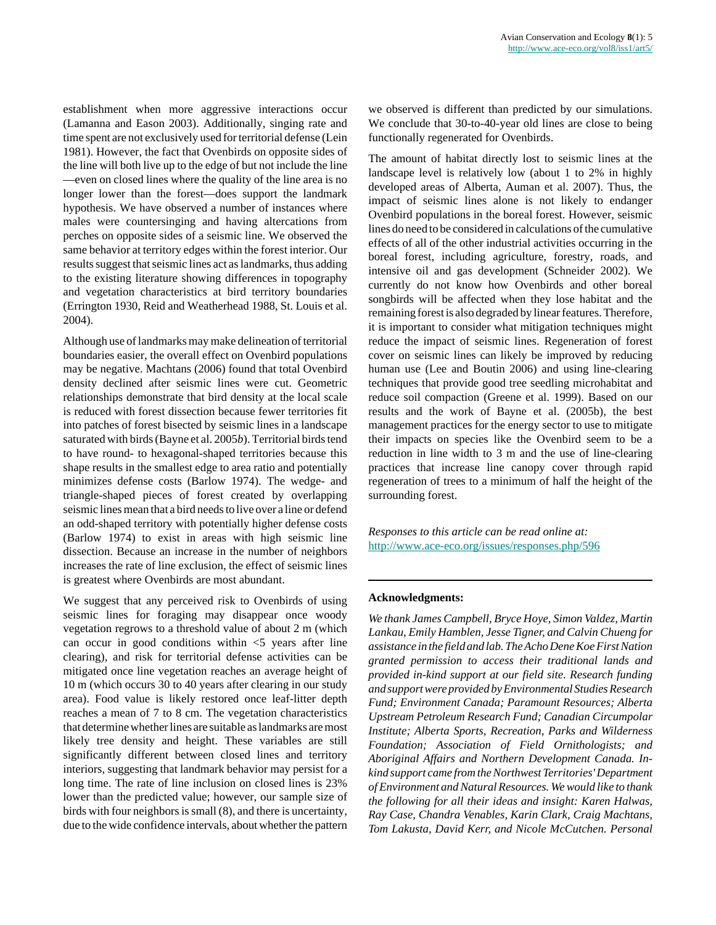establishment when more aggressive interactions occur (Lamanna and Eason 2003). Additionally, singing rate and time spent are not exclusively used for territorial defense (Lein 1981). However, the fact that Ovenbirds on opposite sides of the line will both live up to the edge of but not include the line —even on closed lines where the quality of the line area is no longer lower than the forest—does support the landmark hypothesis. We have observed a number of instances where males were countersinging and having altercations from perches on opposite sides of a seismic line. We observed the same behavior at territory edges within the forest interior. Our results suggest that seismic lines act as landmarks, thus adding to the existing literature showing differences in topography and vegetation characteristics at bird territory boundaries (Errington 1930, Reid and Weatherhead 1988, St. Louis et al. 2004).

Although use of landmarks may make delineation of territorial boundaries easier, the overall effect on Ovenbird populations may be negative. Machtans (2006) found that total Ovenbird density declined after seismic lines were cut. Geometric relationships demonstrate that bird density at the local scale is reduced with forest dissection because fewer territories fit into patches of forest bisected by seismic lines in a landscape saturated with birds (Bayne et al. 2005*b*). Territorial birds tend to have round- to hexagonal-shaped territories because this shape results in the smallest edge to area ratio and potentially minimizes defense costs (Barlow 1974). The wedge- and triangle-shaped pieces of forest created by overlapping seismic lines mean that a bird needs to live over a line or defend an odd-shaped territory with potentially higher defense costs (Barlow 1974) to exist in areas with high seismic line dissection. Because an increase in the number of neighbors increases the rate of line exclusion, the effect of seismic lines is greatest where Ovenbirds are most abundant.

We suggest that any perceived risk to Ovenbirds of using seismic lines for foraging may disappear once woody vegetation regrows to a threshold value of about 2 m (which can occur in good conditions within  $\leq$  years after line clearing), and risk for territorial defense activities can be mitigated once line vegetation reaches an average height of 10 m (which occurs 30 to 40 years after clearing in our study area). Food value is likely restored once leaf-litter depth reaches a mean of 7 to 8 cm. The vegetation characteristics that determine whether lines are suitable as landmarks are most likely tree density and height. These variables are still significantly different between closed lines and territory interiors, suggesting that landmark behavior may persist for a long time. The rate of line inclusion on closed lines is 23% lower than the predicted value; however, our sample size of birds with four neighbors is small (8), and there is uncertainty, due to the wide confidence intervals, about whether the pattern

we observed is different than predicted by our simulations. We conclude that 30-to-40-year old lines are close to being functionally regenerated for Ovenbirds.

The amount of habitat directly lost to seismic lines at the landscape level is relatively low (about 1 to 2% in highly developed areas of Alberta, Auman et al. 2007). Thus, the impact of seismic lines alone is not likely to endanger Ovenbird populations in the boreal forest. However, seismic lines do need to be considered in calculations of the cumulative effects of all of the other industrial activities occurring in the boreal forest, including agriculture, forestry, roads, and intensive oil and gas development (Schneider 2002). We currently do not know how Ovenbirds and other boreal songbirds will be affected when they lose habitat and the remaining forest is also degraded by linear features. Therefore, it is important to consider what mitigation techniques might reduce the impact of seismic lines. Regeneration of forest cover on seismic lines can likely be improved by reducing human use (Lee and Boutin 2006) and using line-clearing techniques that provide good tree seedling microhabitat and reduce soil compaction (Greene et al. 1999). Based on our results and the work of Bayne et al. (2005b), the best management practices for the energy sector to use to mitigate their impacts on species like the Ovenbird seem to be a reduction in line width to 3 m and the use of line-clearing practices that increase line canopy cover through rapid regeneration of trees to a minimum of half the height of the surrounding forest.

*Responses to this article can be read online at:* <http://www.ace-eco.org/issues/responses.php/596>

## **Acknowledgments:**

*We thank James Campbell, Bryce Hoye, Simon Valdez, Martin Lankau, Emily Hamblen, Jesse Tigner, and Calvin Chueng for assistance in the field and lab. The Acho Dene Koe First Nation granted permission to access their traditional lands and provided in-kind support at our field site. Research funding and support were provided by Environmental Studies Research Fund; Environment Canada; Paramount Resources; Alberta Upstream Petroleum Research Fund; Canadian Circumpolar Institute; Alberta Sports, Recreation, Parks and Wilderness Foundation; Association of Field Ornithologists; and Aboriginal Affairs and Northern Development Canada. Inkind support came from the Northwest Territories' Department of Environment and Natural Resources. We would like to thank the following for all their ideas and insight: Karen Halwas, Ray Case, Chandra Venables, Karin Clark, Craig Machtans, Tom Lakusta, David Kerr, and Nicole McCutchen. Personal*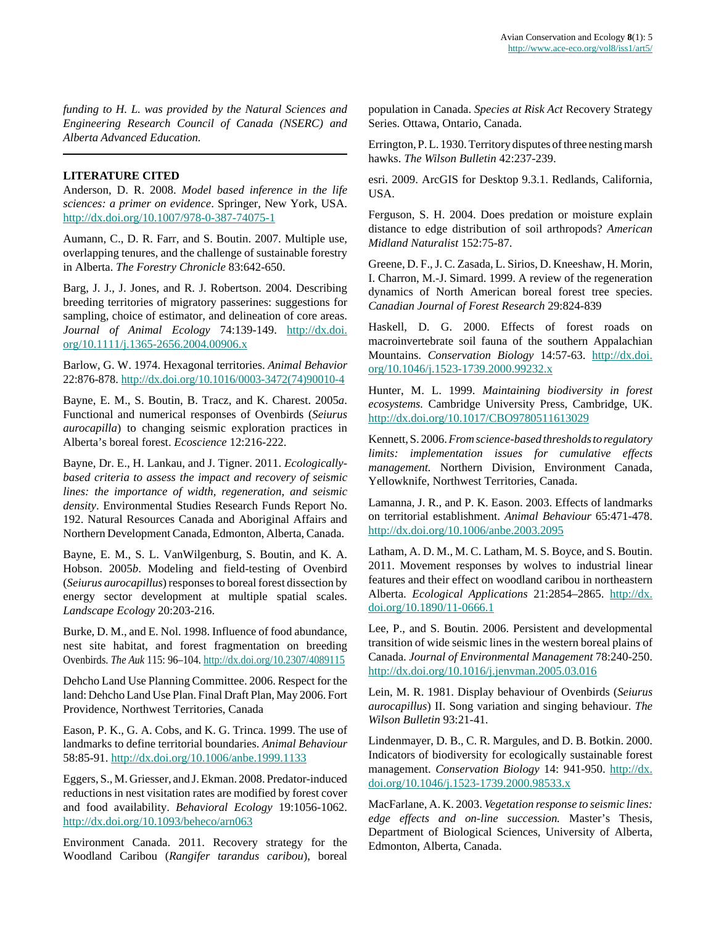*funding to H. L. was provided by the Natural Sciences and Engineering Research Council of Canada (NSERC) and Alberta Advanced Education.*

# **LITERATURE CITED**

Anderson, D. R. 2008. *Model based inference in the life sciences: a primer on evidence*. Springer, New York, USA. <http://dx.doi.org/10.1007/978-0-387-74075-1>

Aumann, C., D. R. Farr, and S. Boutin. 2007. Multiple use, overlapping tenures, and the challenge of sustainable forestry in Alberta. *The Forestry Chronicle* 83:642-650.

Barg, J. J., J. Jones, and R. J. Robertson. 2004. Describing breeding territories of migratory passerines: suggestions for sampling, choice of estimator, and delineation of core areas. Journal of Animal Ecology 74:139-149. [http://dx.doi.](http://dx.doi.org/10.1111/j.1365-2656.2004.00906.x) [org/10.1111/j.1365-2656.2004.00906.x](http://dx.doi.org/10.1111/j.1365-2656.2004.00906.x)

Barlow, G. W. 1974. Hexagonal territories. *Animal Behavior* 22:876-878. [http://dx.doi.org/10.1016/0003-3472\(74\)90010-4](http://dx.doi.org/10.1016/0003-3472(74)90010-4)

Bayne, E. M., S. Boutin, B. Tracz, and K. Charest. 2005*a*. Functional and numerical responses of Ovenbirds (*Seiurus aurocapilla*) to changing seismic exploration practices in Alberta's boreal forest. *Ecoscience* 12:216-222.

Bayne, Dr. E., H. Lankau, and J. Tigner. 2011. *Ecologicallybased criteria to assess the impact and recovery of seismic lines: the importance of width, regeneration, and seismic density*. Environmental Studies Research Funds Report No. 192. Natural Resources Canada and Aboriginal Affairs and Northern Development Canada, Edmonton, Alberta, Canada.

Bayne, E. M., S. L. VanWilgenburg, S. Boutin, and K. A. Hobson. 2005*b*. Modeling and field-testing of Ovenbird (*Seiurus aurocapillus*) responses to boreal forest dissection by energy sector development at multiple spatial scales. *Landscape Ecology* 20:203-216.

Burke, D. M., and E. Nol. 1998. Influence of food abundance, nest site habitat, and forest fragmentation on breeding Ovenbirds. *The Auk* 115: 96–104.<http://dx.doi.org/10.2307/4089115>

Dehcho Land Use Planning Committee. 2006. Respect for the land: Dehcho Land Use Plan. Final Draft Plan, May 2006. Fort Providence, Northwest Territories, Canada

Eason, P. K., G. A. Cobs, and K. G. Trinca. 1999. The use of landmarks to define territorial boundaries. *Animal Behaviour* 58:85-91.<http://dx.doi.org/10.1006/anbe.1999.1133>

Eggers, S., M. Griesser, and J. Ekman. 2008. Predator-induced reductions in nest visitation rates are modified by forest cover and food availability. *Behavioral Ecology* 19:1056-1062. <http://dx.doi.org/10.1093/beheco/arn063>

Environment Canada. 2011. Recovery strategy for the Woodland Caribou (*Rangifer tarandus caribou*), boreal population in Canada. *Species at Risk Act* Recovery Strategy Series. Ottawa, Ontario, Canada.

Errington, P. L. 1930. Territory disputes of three nesting marsh hawks. *The Wilson Bulletin* 42:237-239.

esri. 2009. ArcGIS for Desktop 9.3.1. Redlands, California, USA.

Ferguson, S. H. 2004. Does predation or moisture explain distance to edge distribution of soil arthropods? *American Midland Naturalist* 152:75-87.

Greene, D. F., J. C. Zasada, L. Sirios, D. Kneeshaw, H. Morin, I. Charron, M.-J. Simard. 1999. A review of the regeneration dynamics of North American boreal forest tree species. *Canadian Journal of Forest Research* 29:824-839

Haskell, D. G. 2000. Effects of forest roads on macroinvertebrate soil fauna of the southern Appalachian Mountains. *Conservation Biology* 14:57-63. [http://dx.doi.](http://dx.doi.org/10.1046/j.1523-1739.2000.99232.x) [org/10.1046/j.1523-1739.2000.99232.x](http://dx.doi.org/10.1046/j.1523-1739.2000.99232.x)

Hunter, M. L. 1999. *Maintaining biodiversity in forest ecosystems.* Cambridge University Press, Cambridge, UK. <http://dx.doi.org/10.1017/CBO9780511613029>

Kennett, S. 2006. *From science-based thresholds to regulatory limits: implementation issues for cumulative effects management.* Northern Division, Environment Canada, Yellowknife, Northwest Territories, Canada.

Lamanna, J. R., and P. K. Eason. 2003. Effects of landmarks on territorial establishment. *Animal Behaviour* 65:471-478. <http://dx.doi.org/10.1006/anbe.2003.2095>

Latham, A. D. M., M. C. Latham, M. S. Boyce, and S. Boutin. 2011. Movement responses by wolves to industrial linear features and their effect on woodland caribou in northeastern Alberta. *Ecological Applications* 21:2854–2865. [http://dx.](http://dx.doi.org/10.1890/11-0666.1) [doi.org/10.1890/11-0666.1](http://dx.doi.org/10.1890/11-0666.1)

Lee, P., and S. Boutin. 2006. Persistent and developmental transition of wide seismic lines in the western boreal plains of Canada. *Journal of Environmental Management* 78:240-250. <http://dx.doi.org/10.1016/j.jenvman.2005.03.016>

Lein, M. R. 1981. Display behaviour of Ovenbirds (*Seiurus aurocapillus*) II. Song variation and singing behaviour. *The Wilson Bulletin* 93:21-41.

Lindenmayer, D. B., C. R. Margules, and D. B. Botkin. 2000. Indicators of biodiversity for ecologically sustainable forest management. *Conservation Biology* 14: 941-950. [http://dx.](http://dx.doi.org/10.1046/j.1523-1739.2000.98533.x) [doi.org/10.1046/j.1523-1739.2000.98533.x](http://dx.doi.org/10.1046/j.1523-1739.2000.98533.x) 

MacFarlane, A. K. 2003. *Vegetation response to seismic lines: edge effects and on-line succession.* Master's Thesis, Department of Biological Sciences, University of Alberta, Edmonton, Alberta, Canada.